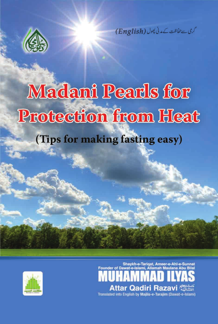

گری سے حفاظت کے مدنی پھول (English)

# **Madani Pearls for Protection from Heat** (Tips for making fasting easy)



Shaykh-e-Tariqat, Ameer-e-Ahl-e-Sunnat Attar Qadiri Razavi Translated into English by Majlis-e-Tarajim (Dawat-e-Islami)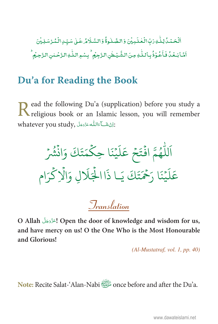ٱلۡحَمۡدُۢالِكَّٰٰٓٓ لِٱلۡلَّٰٰٓٓ لِمَالِّہِ ۖ وَالصَّلَاوَّةُ وَالسَّلَامُ عَـٰلِ سَیِّدِالۡمُّرۡسَلِیۡنَ .<br>أَمَّا بَعۡدُٰ فَأَعُوۡذُبِاللّٰهِ مِنَ الشَّيۡطٰنِ الزَّجِيۡم ۙ بِسۡوِاللّٰهِ الزَّحۡمٰنِ الزَّحِيۡم

### Du'a for Reading the Book

ead the following Du'a (supplication) before you study a K religious book or an Islamic lesson, you will remember whatever you study, اِنْ شَكْ اَللَّهُ عَزَّدَ اِنَّ

اَللَّهُمَّ افْتَحْ عَلَيْنَا حِكْمَتَكَ وَانْشُرْ عَلَيْنَا ,َحْمَتَكَ يَا ذَاالْجَلَالِ وَالْإِكْرَام

*Iranslation* 

O Allah <br/> ! الحَزَّدَجَلَ Open the door of knowledge and wisdom for us, and have mercy on us! O the One Who is the Most Honourable and Glorious!

 $(Al-Mustatraf, vol. I, pp. 40)$ 

once before and after the Du'a.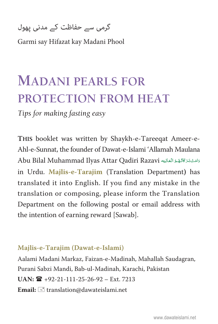[گرمی سے حفاظت کے مدنی پھول](#page-4-0) 

Garmi say Hifazat kay Madani Phool

# **MADANI PEARLS FOR PROTECTION FROM HEAT**

*Tips for making fasting easy*

**THIS** booklet was written by Shaykh-e-Tareeqat Ameer-e-Ahl-e-Sunnat, the founder of Dawat-e-Islami 'Allamah Maulana Abu Bilal Muhammad Ilyas Attar Qadiri Razavi دَامَتْ بَرَ كَاتَّهُمُ الْعَالِيَه Ä Ä in Urdu. **Majlis-e-Tarajim** (Translation Department**)** has translated it into English. If you find any mistake in the translation or composing, please inform the Translation Department on the following postal or email address with the intention of earning reward [Sawab].

#### **Majlis-e-Tarajim (Dawat-e-Islami)**

Aalami Madani Markaz, Faizan-e-Madinah, Mahallah Saudagran, Purani Sabzi Mandi, Bab-ul-Madinah, Karachi, Pakistan **UAN:** +92-21-111-25-26-92 – Ext. 7213 Email:  $\equiv$  translation@dawateislami.net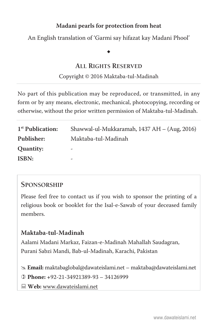[An English translation of 'Garmi say hifazat kay Madani Phool'](#page-4-0) 

## $\bullet$

#### **ALL RIGHTS RESERVED**

#### Copyright © 2016 Maktaba-tul-Madinah

No part of this publication may be reproduced, or transmitted, in any form or by any means, electronic, mechanical, photocopying, recording or otherwise, without the prior written permission of Maktaba-tul-Madinah.

| 1 <sup>st</sup> Publication: | Shawwal-ul-Mukkaramah, 1437 AH – (Aug, 2016) |
|------------------------------|----------------------------------------------|
| Publisher:                   | Maktaba-tul-Madinah                          |
| Quantity:                    | -                                            |
| ISBN:                        | -                                            |

#### **SPONSORSHIP**

Please feel free to contact us if you wish to sponsor the printing of a religious book or booklet for the Isal-e-Sawab of your deceased family members.

#### **Maktaba-tul-Madinah**

Aalami Madani Markaz, Faizan-e-Madinah Mahallah Saudagran, Purani Sabzi Mandi, Bab-ul-Madinah, Karachi, Pakistan

# **Email:** maktabaglobal@dawateislami.net – maktaba@dawateislami.net

  **Phone: +**92-21-34921389-93 – 34126999

**Web:** www.dawateislami.net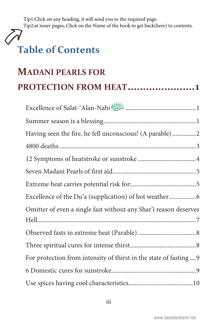<span id="page-4-0"></span>Tip1:Click on any heading, it will send you to the required page. Tip2:at inner pages, Click on the Name of the book to get back(here) to contents.

# **Table of Contents**

# **MADANI PEARLS FOR** PROTECTION FROM HEAT......................1

| Excellence of Salat-'Alan-Nabi                                   |
|------------------------------------------------------------------|
|                                                                  |
|                                                                  |
|                                                                  |
|                                                                  |
|                                                                  |
|                                                                  |
|                                                                  |
| Omitter of even a single fast without any Shar'i reason deserves |
|                                                                  |
|                                                                  |
|                                                                  |
| For protection from intensity of thirst in the state of fasting9 |
|                                                                  |
|                                                                  |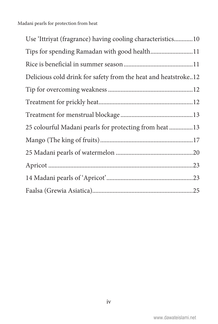| Use 'Ittriyat (fragrance) having cooling characteristics10     |
|----------------------------------------------------------------|
| Tips for spending Ramadan with good health11                   |
|                                                                |
| Delicious cold drink for safety from the heat and heatstroke12 |
|                                                                |
|                                                                |
|                                                                |
| 25 colourful Madani pearls for protecting from heat13          |
|                                                                |
|                                                                |
|                                                                |
|                                                                |
|                                                                |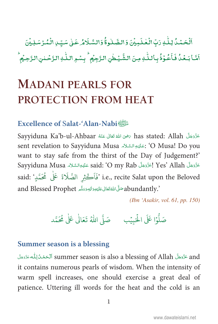<span id="page-6-0"></span>ٱلۡحَمۡدُۢ لِلَّٰٰٓٓ وَبِّ الۡعَلَـٰٓدِيۡنَ وَالصَّلٰوةُۚ وَالسَّلَامُ عَـٰلِ سَيِّـٰ الۡمُدۡسَلِيۡنَ أمَّا بَعْدُ فَأَعُوْذُ بِأَللَّٰهِ مِنَ الشَّيۡطٰنِ الرَّجِيۡم ۙ بِسۡمِ اللَّٰهِ الرَّحۡلِنِ الرَّحِيۡم

# **MADANI PEARLS FOR** PROTECTION FROM HEAT

#### Excellence of Salat-'Alan-Nabi

Sayyiduna Ka'b-ul-Ahbaar حَرَى اللهُ تَعَالَى عَنْهُ Sayyiduna Ka'b-ul-Ahbaar sent revelation to Sayyiduna Musa حَلَيْهِ السَّلاَمِ (O Musa! Do you want to stay safe from the thirst of the Day of Judgement?' Sayyiduna Musa عَزَّدَ said: 'O my Rab إعَزَّدَ Yes' Allah عَلَيْهِ السَّلاَمِ Sayyiduna Musa i.e., recite Salat upon the Beloved 'فَاَكْثِرِ الصَّلَاةَ عَلَى مُحَمَّدٍ' said: abundantly.'' abundantly.''

(Ibn 'Asakir, vol. 61, pp. 150)

#### **Summer season is a blessing**

and عَزَّدَجَلَّ summer season is also a blessing of Allah ٱلْحَمْدُلِلُّه عَزَّدَجَلَ it contains numerous pearls of wisdom. When the intensity of warm spell increases, one should exercise a great deal of patience. Uttering ill words for the heat and the cold is an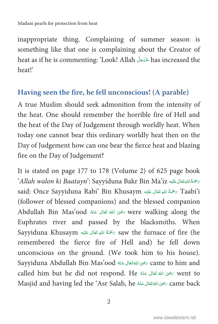<span id="page-7-0"></span>inappropriate thing. Complaining of summer season is something like that one is complaining about the Creator of heat as if he is commenting: 'Look! Allah عَنَّفَجَلَّ has increased the Ä heat!'

#### **Having seen the fire, he fell unconscious! (A parable)**

A true Muslim should seek admonition from the intensity of the heat. One should remember the horrible fire of Hell and the heat of the Day of Judgement through worldly heat. When today one cannot bear this ordinary worldly heat then on the Day of Judgement how can one bear the fierce heat and blazing fire on the Day of Judgement?

It is stated on page 177 to 178 (Volume 2) of 625 page book  $\hat{A}$ llah walon ki Baatayn': Sayyiduna Bakr Bin Ma'iz رَسْحَةُ اللَّهِتَعَالَى عَلَيْه È ȦÄ Ä said: Once Sayyiduna Rabi' Bin Khusaym ﴿ تَحْمَةُ اللَّهِ تَعَالَى عَلَيْهِ  $\rm Taabi'i$ È ȦÄ Ä (follower of blessed companions) and the blessed companion Abdullah Bin Mas'ood رَضِى اللهُ تَعَالَى عَنْهُ  $\hbox{were walking along the}$ Ä Euphrates river and passed by the blacksmiths. When Sayyiduna Khusaym كَجْمَةُ اللهِ تَعَالَى عَلَيْهِ Saw the furnace of fire (he È ȦÄ Ä remembered the fierce fire of Hell and) he fell down unconscious on the ground. (We took him to his house). Sayyiduna Abdullah Bin Mas'ood رَضِىَ اللَّهُ تَعَانَى عَنْهُ Game to him and Å Ä called him but he did not respond. He مَحْقَ اللَّهُ تَعَالَى عَنْهُ  $\sqrt{\frac{1}{2}}$  went to Ä Masjid and having led the 'Asr Salah, he صَحْقَالُ عَنْهُ Came back Å Ä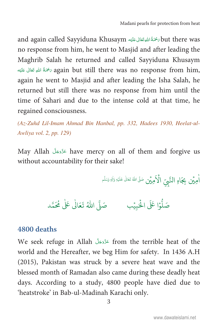<span id="page-8-0"></span>and again called Sayyiduna Khusaym ٱلْصَحَّةُ اللَّهِ تَعَالَى عَلَيْه ȦÄ Ä no response from him, he went to Masjid and after leading the Maghrib Salah he returned and called Sayyiduna Khusaym تَحْمَدُّ اللَّهِ تَعَالَى عَلَيْه $\epsilon$  again but still there was no response from him, È ȦÄ Ä again he went to Masjid and after leading the Isha Salah, he returned but still there was no response from him until the time of Sahari and due to the intense cold at that time, he regained consciousness.

(Az-Zuhd Lil-Imam Ahmad Bin Hanbal, pp. 332, Hadees 1930, Heelat-ul-Awliya vol. 2, pp. 129)

May Allah مَزَّدَجَلَ have mercy on all of them and forgive us without accountability for their sake!

> û ا<br>أُمِيَّن بِجَاهِ النَّبِيِّ الْأَمِيَّن صَلَّى اللهُ نَعَالٰى عَلَيْهِ وَالِ<sub>ّا وَسَلَّم</sub> k ğ A h û h h h

صَلُّوۡا عَلَى الْحَبِيۡبِ ۚ صَلَّى اللّٰهُ تَعَالٰى عَلٰى مُحَمَّد h h û Ġ

#### **4800 deaths**

We seek refuge in Allah حَزَّدَ from the terrible heat of the world and the Hereafter, we beg Him for safety. In 1436 A.H (2015), Pakistan was struck by a severe heat wave and the blessed month of Ramadan also came during these deadly heat days. According to a study, 4800 people have died due to 'heatstroke' in Bab-ul-Madinah Karachi only.

3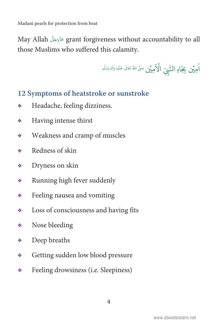<span id="page-9-0"></span>May Allah عَزَّدَجَلَّ arant forgiveness without accountability to all those Muslims who suffered this calamity.

û ا<br>أُمِيَّن بِجَاهِ النَّبِيِّ الْأَمِيَّن صَلَّى اللهُ نَعَالٰى عَلَيْهِ وَالِ<sub>ّا وَسَلَّم</sub> k ğ A h û h h h

#### **12 Symptoms of heatstroke or sunstroke**

- Headache, feeling dizziness.
- Having intense thirst
- Weakness and cramp of muscles
- **◆** Redness of skin
- Dryness on skin
- Running high fever suddenly
- Feeling nausea and vomiting
- $\triangleleft$  Loss of consciousness and having fits
- Nose bleeding
- Deep breaths
- Getting sudden low blood pressure
- Feeling drowsiness (i.e. Sleepiness)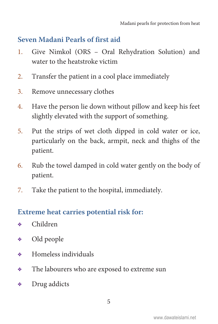#### <span id="page-10-0"></span>**Seven Madani Pearls of first aid**

- 1. Give Nimkol (ORS Oral Rehydration Solution) and water to the heatstroke victim
- 2. Transfer the patient in a cool place immediately
- 3. Remove unnecessary clothes
- 4. Have the person lie down without pillow and keep his feet slightly elevated with the support of something.
- 5. Put the strips of wet cloth dipped in cold water or ice, particularly on the back, armpit, neck and thighs of the patient.
- 6. Rub the towel damped in cold water gently on the body of patient.
- 7. Take the patient to the hospital, immediately.

#### **Extreme heat carries potential risk for:**

- Children
- Old people
- Homeless individuals
- $\triangleleft$  The labourers who are exposed to extreme sun
- Drug addicts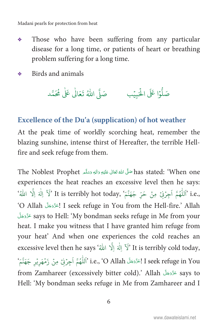- <span id="page-11-0"></span>Those who have been suffering from any particular ٠ disease for a long time, or patients of heart or breathing problem suffering for a long time.
- Birds and animals ÷

# 

#### Excellence of the Du'a (supplication) of hot weather

At the peak time of worldly scorching heat, remember the blazing sunshine, intense thirst of Hereafter, the terrible Hellfire and seek refuge from them.

has stated: 'When one' صَلَّى اللهُ تَعَالَى عَلَيْهِ وَالِهٖ وَسَلَّمِ The Noblest Prophet experiences the heat reaches an excessive level then he says: i.e., ٱللَّهُمَّ اَجِرْنِىۚ مِنۡ حَرِّ جَهَنَّمَ ٗ It is terribly hot today, 'لَآ اِلٰهَ اِلَّا اللَّهُ 'O Allah إعَزَّدَهَلَ I seek refuge in You from the Hell-fire.' Allah says to Hell: 'My bondman seeks refuge in Me from your heat. I make you witness that I have granted him refuge from your heat' And when one experiences the cold reaches an excessive level then he says 'لَا إِلَٰهَ إِلَٰهَ إِلَى اللَّهُ Li is terribly cold today, I seek refuge in You [اللَّهُمَّ أجِرْنِي مِنْ زَمْهَرِيْرِ جَهَنَّمَ from Zamhareer (excessively bitter cold).' Allah تَزْدَجَلَ says to Hell: 'My bondman seeks refuge in Me from Zamhareer and I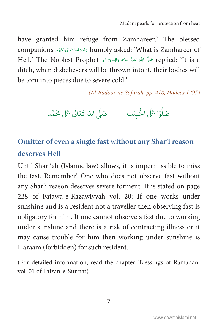<span id="page-12-0"></span>have granted him refuge from Zamhareer.' The blessed companions رَضِىَ اللَّهُ تَعَالَى عَنْهُم companions رَضِيَ اللَّهُ مَعَالَى عَنْهُم وَ companions Hell.' The Noblest Prophet حَلَّ اللهُ تَعَالَى عَلَيْهِ وَالِهٖ وَسَلَّمَ Hell.' The Noblest Prophet ditch, when disbelievers will be thrown into it, their bodies will be torn into pieces due to severe cold.'

(Al-Badoor-us-Safarah, pp. 418, Hadees 1395)

### Omitter of even a single fast without any Shar'i reason deserves Hell

Until Shari'ah (Islamic law) allows, it is impermissible to miss the fast. Remember! One who does not observe fast without any Shar'i reason deserves severe torment. It is stated on page 228 of Fatawa-e-Razawiyyah vol. 20: If one works under sunshine and is a resident not a traveller then observing fast is obligatory for him. If one cannot observe a fast due to working under sunshine and there is a risk of contracting illness or it may cause trouble for him then working under sunshine is Haraam (forbidden) for such resident.

(For detailed information, read the chapter 'Blessings of Ramadan, vol. 01 of Faizan-e-Sunnat)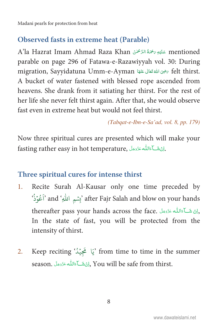#### <span id="page-13-0"></span>**Observed fasts in extreme heat (Parable)**

A'la Hazrat Imam Ahmad Raza Khan عَلَيْهِ يَحْمَةُ الرَّحْمَٰنُ mentioned parable on page 296 of Fatawa-e-Razawiyyah vol. 30: During migration, Sayyidatuna Umm-e-Ayman رَضِى اللهُ تَعَالَى عَنْهَا migration, Sayyidatuna Umm-e-Ayman A bucket of water fastened with blessed rope ascended from heavens. She drank from it satiating her thirst. For the rest of her life she never felt thirst again. After that, she would observe fast even in extreme heat but would not feel thirst.

(Tabqat-e-Ibn-e-Sa'ad, vol. 8, pp. 179)

Now three spiritual cures are presented which will make your fasting rather easy in hot temperature, النَّشَكَ عَالِقُكُمْ عَنْدَ عِنْهِ بِهِ

#### Three spiritual cures for intense thirst

- Recite Surah Al-Kausar only one time preceded by  $1_{-}$ 'أَعُوُذُ' and 'بِشمِ اللهِ' after Fajr Salah and blow on your hands thereafter pass your hands across the face. إِنْ شَكْءَاللَّه عَزَّدَجَلَّ . In the state of fast, you will be protected from the intensity of thirst.
- Keep reciting `يَا تَجَيْدُ from time to time in the summer 2. season. إِنْ شَبَاءَاللَّهِ عَزَّدَ بِنَ season. وَإِنْ شَبَاءَاللَّهُ عَزَّدَ بِنَا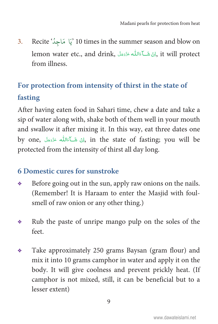<span id="page-14-0"></span>3. Recite 'يَا مَاجِدُ'  $10$  times in the summer season and blow on lemon water etc., and drink, إِنْ شَـآءَاللّٰه ءَدَّدَجَلَّ ,it will protect Ä from illness.

### **For protection from intensity of thirst in the state of fasting**

After having eaten food in Sahari time, chew a date and take a sip of water along with, shake both of them well in your mouth and swallow it after mixing it. In this way, eat three dates one by one, كَ ٱلْمَالِكُ عَزَّدَةَ ), in the state of fasting; you will be Ä protected from the intensity of thirst all day long.

#### **6 Domestic cures for sunstroke**

- ◆ Before going out in the sun, apply raw onions on the nails. (Remember! It is Haraam to enter the Masjid with foulsmell of raw onion or any other thing.)
- $\ast$  Rub the paste of unripe mango pulp on the soles of the feet.
- Take approximately 250 grams Baysan (gram flour) and mix it into 10 grams camphor in water and apply it on the body. It will give coolness and prevent prickly heat. (If camphor is not mixed, still, it can be beneficial but to a lesser extent)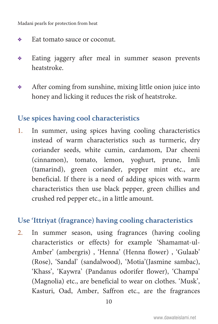- <span id="page-15-0"></span>**◆** Eat tomato sauce or coconut.
- Eating jaggery after meal in summer season prevents heatstroke.
- After coming from sunshine, mixing little onion juice into honey and licking it reduces the risk of heatstroke.

#### **Use spices having cool characteristics**

1. In summer, using spices having cooling characteristics instead of warm characteristics such as turmeric, dry coriander seeds, white cumin, cardamom, Dar cheeni (cinnamon), tomato, lemon, yoghurt, prune, Imli (tamarind), green coriander, pepper mint etc., are beneficial. If there is a need of adding spices with warm characteristics then use black pepper, green chillies and crushed red pepper etc., in a little amount.

#### **Use 'Ittriyat (fragrance) having cooling characteristics**

2. In summer season, using fragrances (having cooling characteristics or effects) for example 'Shamamat-ul-Amber' (ambergris) , 'Henna' (Henna flower) , 'Gulaab' (Rose), 'Sandal' (sandalwood), 'Motia'(Jasmine sambac), 'Khass', 'Kaywra' (Pandanus odorifer flower), 'Champa' (Magnolia) etc., are beneficial to wear on clothes. 'Musk', Kasturi, Oad, Amber, Saffron etc., are the fragrances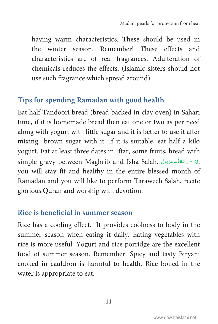<span id="page-16-0"></span>having warm characteristics. These should be used in the winter season. Remember! These effects and characteristics are of real fragrances. Adulteration of chemicals reduces the effects. (Islamic sisters should not use such fragrance which spread around)

#### **Tips for spending Ramadan with good health**

Eat half Tandoori bread (bread backed in clay oven) in Sahari time, if it is homemade bread then eat one or two as per need along with yogurt with little sugar and it is better to use it after mixing brown sugar with it. If it is suitable, eat half a kilo yogurt. Eat at least three dates in Iftar, some fruits, bread with simple gravy between Maghrib and Isha Salah. إِنْ شَكْءَاللَّه عَدَّدَجَلٌ. Ä you will stay fit and healthy in the entire blessed month of Ramadan and you will like to perform Taraweeh Salah, recite glorious Quran and worship with devotion.

#### **Rice is beneficial in summer season**

Rice has a cooling effect. It provides coolness to body in the summer season when eating it daily. Eating vegetables with rice is more useful. Yogurt and rice porridge are the excellent food of summer season. Remember! Spicy and tasty Biryani cooked in cauldron is harmful to health. Rice boiled in the water is appropriate to eat.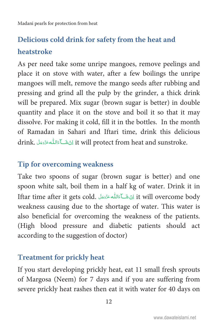### <span id="page-17-0"></span>**Delicious cold drink for safety from the heat and heatstroke**

As per need take some unripe mangoes, remove peelings and place it on stove with water, after a few boilings the unripe mangoes will melt, remove the mango seeds after rubbing and pressing and grind all the pulp by the grinder, a thick drink will be prepared. Mix sugar (brown sugar is better) in double quantity and place it on the stove and boil it so that it may dissolve. For making it cold, fill it in the bottles. In the month of Ramadan in Sahari and Iftari time, drink this delicious drink. كَ أَءَالله عَدَّدَجَلَ it will protect from heat and sunstroke. Ä

#### **Tip for overcoming weakness**

Take two spoons of sugar (brown sugar is better) and one spoon white salt, boil them in a half kg of water. Drink it in Iftar time after it gets cold. كَ عَائِلُه عَزَدَجَلَ it will overcome body Ä weakness causing due to the shortage of water. This water is also beneficial for overcoming the weakness of the patients. (High blood pressure and diabetic patients should act according to the suggestion of doctor)

#### **Treatment for prickly heat**

If you start developing prickly heat, eat 11 small fresh sprouts of Margosa (Neem) for 7 days and if you are suffering from severe prickly heat rashes then eat it with water for 40 days on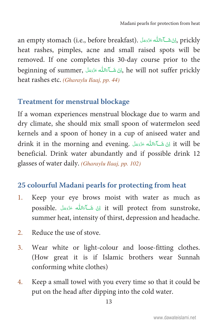<span id="page-18-0"></span>an empty stomach (i.e., before breakfast). إِنْ شَـَآءَاللَّه عَزَّدَ َلَّهِ. prickly Ä heat rashes, pimples, acne and small raised spots will be removed. If one completes this 30-day course prior to the beginning of summer, إِنْ شَـآءَاللّٰه عَزَّدَ ۖ أَنْ اللهُ عَلَيْهِ ﴾ beginning of summer, إِنْ شَـآءَاللّٰه Ä heat rashes etc. (Gharaylu Ilaaj, pp. 44)

#### **Treatment for menstrual blockage**

If a woman experiences menstrual blockage due to warm and dry climate, she should mix small spoon of watermelon seed kernels and a spoon of honey in a cup of aniseed water and drink it in the morning and evening. أَيْ شَكَآءَاللَّهُ عَذَوَءَلَ Ä beneficial. Drink water abundantly and if possible drink 12 glasses of water daily. (Gharaylu Ilaaj, pp. 102)

#### **25 colourful Madani pearls for protecting from heat**

- 1. Keep your eye brows moist with water as much as possible. كَ شَكَآءَاللَّه عَذَدَجَلَ possible. أَيْنَ شَكَآءَاللَّهَ Ä summer heat, intensity of thirst, depression and headache.
- 2. Reduce the use of stove.
- 3. Wear white or light-colour and loose-fitting clothes. (How great it is if Islamic brothers wear Sunnah conforming white clothes)
- 4. Keep a small towel with you every time so that it could be put on the head after dipping into the cold water.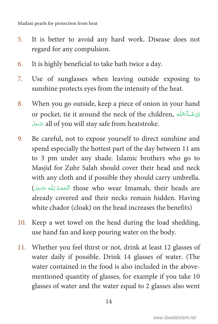- 5. It is better to avoid any hard work. Disease does not regard for any compulsion.
- 6. It is highly beneficial to take bath twice a day.
- 7. Use of sunglasses when leaving outside exposing to sunshine protects eyes from the intensity of the heat.
- 8. When you go outside, keep a piece of onion in your hand or pocket, tie it around the neck of the children, اِنْ شَكْءَاللّٰه Ä all of you will stay safe from heatstroke.
- 9. Be careful, not to expose yourself to direct sunshine and spend especially the hottest part of the day between 11 am to 3 pm under any shade. Islamic brothers who go to Masjid for Zuhr Salah should cover their head and neck with any cloth and if possible they should carry umbrella. (ٱلۡحَمۡدُ لِلّٰه عَزَدَجَلَ) those who wear Imamah, their heads are already covered and their necks remain hidden. Having white chador (cloak) on the head increases the benefits)
- 10. Keep a wet towel on the head during the load shedding, use hand fan and keep pouring water on the body.
- 11. Whether you feel thirst or not, drink at least 12 glasses of water daily if possible. Drink 14 glasses of water. (The water contained in the food is also included in the abovementioned quantity of glasses, for example if you take 10 glasses of water and the water equal to 2 glasses also went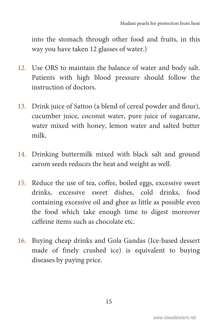into the stomach through other food and fruits, in this way you have taken 12 glasses of water.)

- 12. Use ORS to maintain the balance of water and body salt. Patients with high blood pressure should follow the instruction of doctors.
- 13. Drink juice of Sattoo (a blend of cereal powder and flour), cucumber juice, coconut water, pure juice of sugarcane, water mixed with honey, lemon water and salted butter milk.
- 14. Drinking buttermilk mixed with black salt and ground carom seeds reduces the heat and weight as well.
- 15. Reduce the use of tea, coffee, boiled eggs, excessive sweet drinks, excessive sweet dishes, cold drinks, food containing excessive oil and ghee as little as possible even the food which take enough time to digest moreover caffeine items such as chocolate etc.
- 16. Buying cheap drinks and Gola Gandas (Ice-based dessert made of finely crushed ice) is equivalent to buying diseases by paying price.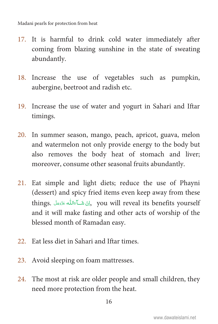- 17. It is harmful to drink cold water immediately after coming from blazing sunshine in the state of sweating abundantly.
- 18. Increase the use of vegetables such as pumpkin, aubergine, beetroot and radish etc.
- 19. Increase the use of water and yogurt in Sahari and Iftar timings.
- 20. In summer season, mango, peach, apricot, guava, melon and watermelon not only provide energy to the body but also removes the body heat of stomach and liver; moreover, consume other seasonal fruits abundantly.
- 21. Eat simple and light diets; reduce the use of Phayni (dessert) and spicy fried items even keep away from these things. لِكَ شَكَاءَالله عَذَدِهَلَ, you will reveal its benefits yourself Ä and it will make fasting and other acts of worship of the blessed month of Ramadan easy.
- 22. Eat less diet in Sahari and Iftar times.
- 23. Avoid sleeping on foam mattresses.
- 24. The most at risk are older people and small children, they need more protection from the heat.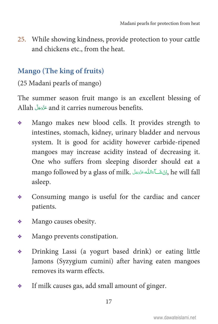<span id="page-22-0"></span>25. While showing kindness, provide protection to your cattle and chickens etc., from the heat.

#### **Mango (The king of fruits)**

(25 Madani pearls of mango)

The summer season fruit mango is an excellent blessing of Allah حَزَّدَجَلَّ and it carries numerous benefits. Ä

- Mango makes new blood cells. It provides strength to intestines, stomach, kidney, urinary bladder and nervous system. It is good for acidity however carbide-ripened mangoes may increase acidity instead of decreasing it. One who suffers from sleeping disorder should eat a mango followed by a glass of milk. كَأَمَالِكُمْ عَنْدَجَلَ ,he will fall Ä asleep.
- Consuming mango is useful for the cardiac and cancer patients.
- Mango causes obesity.
- Mango prevents constipation.
- Drinking Lassi (a yogurt based drink) or eating little Jamons (Syzygium cumini) after having eaten mangoes removes its warm effects.
- If milk causes gas, add small amount of ginger.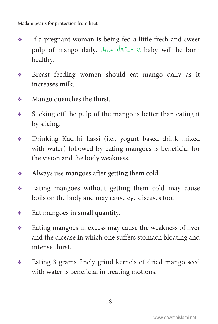- If a pregnant woman is being fed a little fresh and sweet pulp of mango daily. أَيَّ شَكَآءَالله عَذَوَجَلَ baby will be born Ä healthy.
- Breast feeding women should eat mango daily as it increases milk.
- Mango quenches the thirst.
- $\bullet$  Sucking off the pulp of the mango is better than eating it by slicing.
- Drinking Kachhi Lassi (i.e., yogurt based drink mixed with water) followed by eating mangoes is beneficial for the vision and the body weakness.
- Always use mangoes after getting them cold
- Eating mangoes without getting them cold may cause boils on the body and may cause eye diseases too.
- Eat mangoes in small quantity.
- Eating mangoes in excess may cause the weakness of liver and the disease in which one suffers stomach bloating and intense thirst.
- Eating 3 grams finely grind kernels of dried mango seed with water is beneficial in treating motions.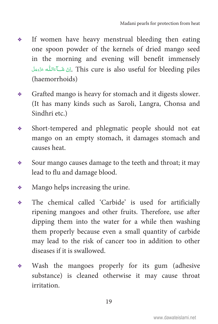- If women have heavy menstrual bleeding then eating one spoon powder of the kernels of dried mango seed in the morning and evening will benefit immensely لِنْ شَكَآءَاللّٰه عَزَّدَمَلْ, This cure is also useful for bleeding piles Ä (haemorrhoids)
- Grafted mango is heavy for stomach and it digests slower. (It has many kinds such as Saroli, Langra, Chonsa and Sindhri etc.)
- Short-tempered and phlegmatic people should not eat mango on an empty stomach, it damages stomach and causes heat.
- $\bullet$  Sour mango causes damage to the teeth and throat; it may lead to flu and damage blood.
- Mango helps increasing the urine.
- The chemical called 'Carbide' is used for artificially ripening mangoes and other fruits. Therefore, use after dipping them into the water for a while then washing them properly because even a small quantity of carbide may lead to the risk of cancer too in addition to other diseases if it is swallowed.
- Wash the mangoes properly for its gum (adhesive substance) is cleaned otherwise it may cause throat irritation.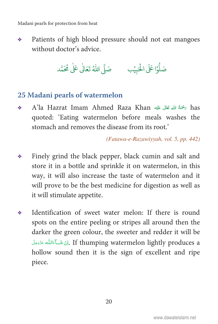<span id="page-25-0"></span>Patients of high blood pressure should not eat mangoes 泰兰 without doctor's advice.

صَلُّوْا عَلَى الْحَبِيْبِ مَلَّى اللَّهُ تَعَالَٰى عَلَٰى مُحَمَّد

#### 25 Madani pearls of watermelon

has سُخْمَةُ الله تَعَالَى عَلَيْهِ الله عَلَيْهِ A'la Hazrat Imam Ahmed Raza Khan ٠ quoted: 'Eating watermelon before meals washes the stomach and removes the disease from its root.'

(Fatawa-e-Razawiyyah, vol. 5, pp. 442)

- Finely grind the black pepper, black cumin and salt and ٠ store it in a bottle and sprinkle it on watermelon, in this way, it will also increase the taste of watermelon and it will prove to be the best medicine for digestion as well as it will stimulate appetite.
- Identification of sweet water melon: If there is round ◈ spots on the entire peeling or stripes all around then the darker the green colour, the sweeter and redder it will be لِنْ شَبِّ اللَّهِ عَزَدَجَلَ If thumping watermelon lightly produces a hollow sound then it is the sign of excellent and ripe piece.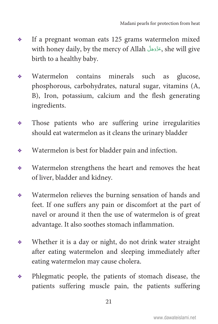- If a pregnant woman eats 125 grams watermelon mixed with honey daily, by the mercy of Allah حَرَّدَجَلَّ she will give birth to a healthy baby.
- Watermelon contains minerals such as glucose, phosphorous, carbohydrates, natural sugar, vitamins (A, B), Iron, potassium, calcium and the flesh generating ingredients.
- Those patients who are suffering urine irregularities should eat watermelon as it cleans the urinary bladder
- Watermelon is best for bladder pain and infection.
- Watermelon strengthens the heart and removes the heat of liver, bladder and kidney.
- Watermelon relieves the burning sensation of hands and feet. If one suffers any pain or discomfort at the part of navel or around it then the use of watermelon is of great advantage. It also soothes stomach inflammation.
- Whether it is a day or night, do not drink water straight after eating watermelon and sleeping immediately after eating watermelon may cause cholera.
- Phlegmatic people, the patients of stomach disease, the patients suffering muscle pain, the patients suffering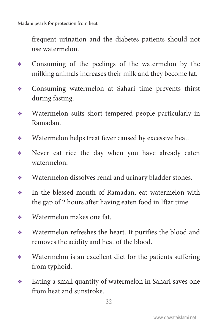frequent urination and the diabetes patients should not use watermelon.

- Consuming of the peelings of the watermelon by the milking animals increases their milk and they become fat.
- Consuming watermelon at Sahari time prevents thirst during fasting.
- Watermelon suits short tempered people particularly in Ramadan.
- Watermelon helps treat fever caused by excessive heat.
- Never eat rice the day when you have already eaten watermelon.
- Watermelon dissolves renal and urinary bladder stones.
- In the blessed month of Ramadan, eat watermelon with the gap of 2 hours after having eaten food in Iftar time.
- Watermelon makes one fat.
- Watermelon refreshes the heart. It purifies the blood and removes the acidity and heat of the blood.
- Watermelon is an excellent diet for the patients suffering from typhoid.
- Eating a small quantity of watermelon in Sahari saves one from heat and sunstroke.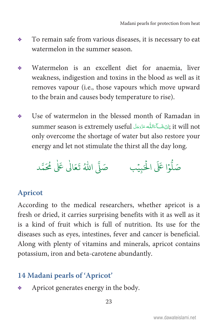- <span id="page-28-0"></span>To remain safe from various diseases, it is necessary to eat ÷ watermelon in the summer season.
- Watermelon is an excellent diet for anaemia, liver ÷. weakness, indigestion and toxins in the blood as well as it removes vapour (i.e., those vapours which move upward to the brain and causes body temperature to rise).
- Use of watermelon in the blessed month of Ramadan in ٠ it will not ; إِنْ شَكَآءَاللَّه عَزَّدَ عِلَّ summer season is extremely useful only overcome the shortage of water but also restore your energy and let not stimulate the thirst all the day long.



#### **Apricot**

According to the medical researchers, whether apricot is a fresh or dried, it carries surprising benefits with it as well as it is a kind of fruit which is full of nutrition. Its use for the diseases such as eyes, intestines, fever and cancer is beneficial. Along with plenty of vitamins and minerals, apricot contains potassium, iron and beta-carotene abundantly.

#### 14 Madani pearls of 'Apricot'

Apricot generates energy in the body. ٠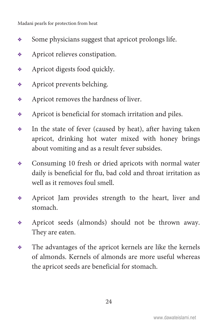- Some physicians suggest that apricot prolongs life.
- Apricot relieves constipation.
- Apricot digests food quickly.
- Apricot prevents belching.
- Apricot removes the hardness of liver.
- Apricot is beneficial for stomach irritation and piles.
- $\bullet$  In the state of fever (caused by heat), after having taken apricot, drinking hot water mixed with honey brings about vomiting and as a result fever subsides.
- Consuming 10 fresh or dried apricots with normal water daily is beneficial for flu, bad cold and throat irritation as well as it removes foul smell.
- Apricot Jam provides strength to the heart, liver and stomach.
- Apricot seeds (almonds) should not be thrown away. They are eaten.
- The advantages of the apricot kernels are like the kernels of almonds. Kernels of almonds are more useful whereas the apricot seeds are beneficial for stomach.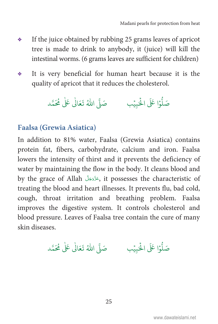- <span id="page-30-0"></span>If the juice obtained by rubbing 25 grams leaves of apricot 泰兰 tree is made to drink to anybody, it (juice) will kill the intestinal worms. (6 grams leaves are sufficient for children)
- It is very beneficial for human heart because it is the 泰兰 quality of apricot that it reduces the cholesterol.



#### **Faalsa (Grewia Asiatica)**

In addition to 81% water, Faalsa (Grewia Asiatica) contains protein fat, fibers, carbohydrate, calcium and iron. Faalsa lowers the intensity of thirst and it prevents the deficiency of water by maintaining the flow in the body. It cleans blood and by the grace of Allah فَزَّدَ بَلَّ it possesses the characteristic of treating the blood and heart illnesses. It prevents flu, bad cold, cough, throat irritation and breathing problem. Faalsa improves the digestive system. It controls cholesterol and blood pressure. Leaves of Faalsa tree contain the cure of many skin diseases